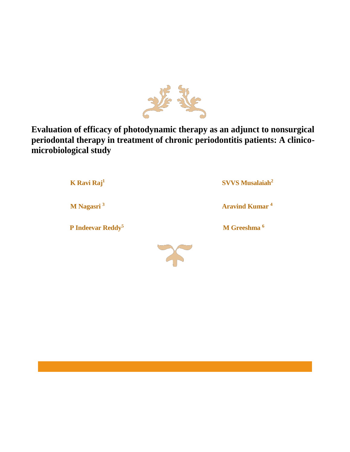

**Evaluation of efficacy of photodynamic therapy as an adjunct to nonsurgical periodontal therapy in treatment of chronic periodontitis patients: A clinicomicrobiological study**

> **[K Ravi Raj](https://www.ijdr.in/searchresult.asp?search=&author=K+Ravi+Raj&journal=Y&but_search=Search&entries=10&pg=1&s=0)<sup>1</sup> [SVVS Musalaiah](https://www.ijdr.in/searchresult.asp?search=&author=SVVS+Musalaiah&journal=Y&but_search=Search&entries=10&pg=1&s=0)<sup>2</sup> [M Nagasri](https://www.ijdr.in/searchresult.asp?search=&author=M+Nagasri&journal=Y&but_search=Search&entries=10&pg=1&s=0) <sup>3</sup> Aravind Kumar <sup>4</sup> [P Indeevar Reddy](https://www.ijdr.in/searchresult.asp?search=&author=P+Indeevar+Reddy&journal=Y&but_search=Search&entries=10&pg=1&s=0)<sup>5</sup> M Greeshma <sup>6</sup>**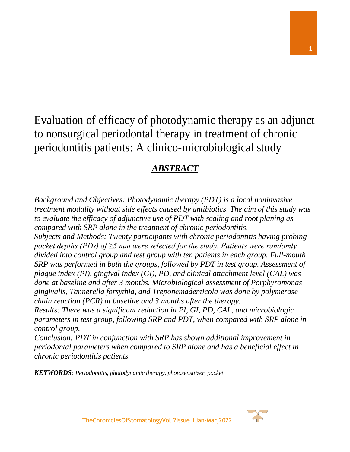# Evaluation of efficacy of photodynamic therapy as an adjunct to nonsurgical periodontal therapy in treatment of chronic periodontitis patients: A clinico-microbiological study

# *ABSTRACT*

*Background and Objectives: Photodynamic therapy (PDT) is a local noninvasive treatment modality without side effects caused by antibiotics. The aim of this study was to evaluate the efficacy of adjunctive use of PDT with scaling and root planing as compared with SRP alone in the treatment of chronic periodontitis. Subjects and Methods: Twenty participants with chronic periodontitis having probing pocket depths (PDs) of ≥5 mm were selected for the study. Patients were randomly divided into control group and test group with ten patients in each group. Full-mouth SRP* was performed in both the groups, followed by PDT in test group. Assessment of *plaque index (PI), gingival index (GI), PD, and clinical attachment level (CAL) was done at baseline and after 3 months. Microbiological assessment of Porphyromonas gingivalis, Tannerella forsythia, and Treponemadenticola was done by polymerase chain reaction (PCR) at baseline and 3 months after the therapy.*

*Results: There was a significant reduction in PI, GI, PD, CAL, and microbiologic parameters in test group, following SRP and PDT, when compared with SRP alone in control group.*

*Conclusion: PDT in conjunction with SRP has shown additional improvement in periodontal parameters when compared to SRP alone and has a beneficial effect in chronic periodontitis patients.*

*KEYWORDS***:** *Periodontitis, photodynamic therapy, photosensitizer, pocket*

TheChroniclesOfStomatologyVol.2Issue 1Jan-Mar,2022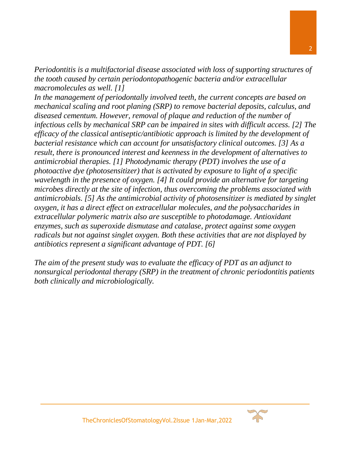*Periodontitis is a multifactorial disease associated with loss of supporting structures of the tooth caused by certain periodontopathogenic bacteria and/or extracellular macromolecules as well. [\[1\]](https://www.ijdr.in/article.asp?issn=0970-9290;year=2016;volume=27;issue=5;spage=483;epage=487;aulast=Raj#ref1)*

*In the management of periodontally involved teeth, the current concepts are based on mechanical scaling and root planing (SRP) to remove bacterial deposits, calculus, and diseased cementum. However, removal of plaque and reduction of the number of infectious cells by mechanical SRP can be impaired in sites with difficult access. [\[2\]](https://www.ijdr.in/article.asp?issn=0970-9290;year=2016;volume=27;issue=5;spage=483;epage=487;aulast=Raj#ref2) The efficacy of the classical antiseptic/antibiotic approach is limited by the development of bacterial resistance which can account for unsatisfactory clinical outcomes. [\[3\]](https://www.ijdr.in/article.asp?issn=0970-9290;year=2016;volume=27;issue=5;spage=483;epage=487;aulast=Raj#ref3) As a result, there is pronounced interest and keenness in the development of alternatives to antimicrobial therapies. [\[1\]](https://www.ijdr.in/article.asp?issn=0970-9290;year=2016;volume=27;issue=5;spage=483;epage=487;aulast=Raj#ref1) Photodynamic therapy (PDT) involves the use of a photoactive dye (photosensitizer) that is activated by exposure to light of a specific wavelength in the presence of oxygen. [\[4\]](https://www.ijdr.in/article.asp?issn=0970-9290;year=2016;volume=27;issue=5;spage=483;epage=487;aulast=Raj#ref4) It could provide an alternative for targeting microbes directly at the site of infection, thus overcoming the problems associated with antimicrobials. [\[5\]](https://www.ijdr.in/article.asp?issn=0970-9290;year=2016;volume=27;issue=5;spage=483;epage=487;aulast=Raj#ref5) As the antimicrobial activity of photosensitizer is mediated by singlet oxygen, it has a direct effect on extracellular molecules, and the polysaccharides in extracellular polymeric matrix also are susceptible to photodamage. Antioxidant enzymes, such as superoxide dismutase and catalase, protect against some oxygen radicals but not against singlet oxygen. Both these activities that are not displayed by antibiotics represent a significant advantage of PDT. [\[6\]](https://www.ijdr.in/article.asp?issn=0970-9290;year=2016;volume=27;issue=5;spage=483;epage=487;aulast=Raj#ref6)*

*The aim of the present study was to evaluate the efficacy of PDT as an adjunct to nonsurgical periodontal therapy (SRP) in the treatment of chronic periodontitis patients both clinically and microbiologically.*

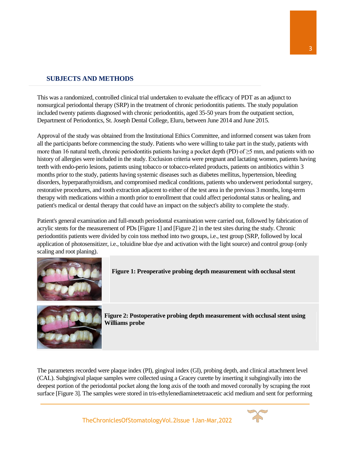# **SUBJECTS AND METHODS**

This was a randomized, controlled clinical trial undertaken to evaluate the efficacy of PDT as an adjunct to nonsurgical periodontal therapy (SRP) in the treatment of chronic periodontitis patients. The study population included twenty patients diagnosed with chronic periodontitis, aged 35-50 years from the outpatient section, Department of Periodontics, St. Joseph Dental College, Eluru, between June 2014 and June 2015.

Approval of the study was obtained from the Institutional Ethics Committee, and informed consent was taken from all the participants before commencing the study. Patients who were willing to take part in the study, patients with more than 16 natural teeth, chronic periodontitis patients having a pocket depth (PD) of ≥5 mm, and patients with no history of allergies were included in the study. Exclusion criteria were pregnant and lactating women, patients having teeth with endo-perio lesions, patients using tobacco or tobacco-related products, patients on antibiotics within 3 months prior to the study, patients having systemic diseases such as diabetes mellitus, hypertension, bleeding disorders, hyperparathyroidism, and compromised medical conditions, patients who underwent periodontal surgery, restorative procedures, and tooth extraction adjacent to either of the test area in the previous 3 months, long-term therapy with medications within a month prior to enrollment that could affect periodontal status or healing, and patient's medical or dental therapy that could have an impact on the subject's ability to complete the study.

Patient's general examination and full-mouth periodontal examination were carried out, followed by fabrication of acrylic stents for the measurement of PDs [\[Figure 1\]](https://www.ijdr.in/viewimage.asp?img=IndianJDentRes_2016_27_5_483_195622_f1.jpg) and [\[Figure 2\]](https://www.ijdr.in/viewimage.asp?img=IndianJDentRes_2016_27_5_483_195622_f2.jpg) in the test sites during the study. Chronic periodontitis patients were divided by coin toss method into two groups, i.e., test group (SRP, followed by local application of photosensitizer, i.e., toluidine blue dye and activation with the light source) and control group (only scaling and root planing).



**Figure 1: Preoperative probing depth measurement with occlusal stent**



**Figure 2: Postoperative probing depth measurement with occlusal stent using Williams probe**

The parameters recorded were plaque index (PI), gingival index (GI), probing depth, and clinical attachment level (CAL). Subgingival plaque samples were collected using a Gracey curette by inserting it subgingivally into the deepest portion of the periodontal pocket along the long axis of the tooth and moved coronally by scraping the root surface [\[Figure 3\].](https://www.ijdr.in/viewimage.asp?img=IndianJDentRes_2016_27_5_483_195622_f3.jpg) The samples were stored in tris-ethylenediaminetetraacetic acid medium and sent for performing

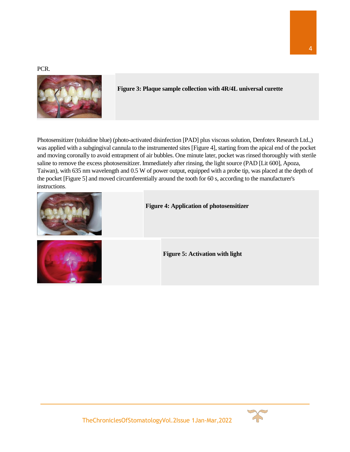PCR.



**Figure 3: Plaque sample collection with 4R/4L universal curette**

Photosensitizer (toluidine blue) (photo-activated disinfection [PAD] plus viscous solution, Denfotex Research Ltd.,) was applied with a subgingival cannula to the instrumented sites [\[Figure 4\],](https://www.ijdr.in/viewimage.asp?img=IndianJDentRes_2016_27_5_483_195622_f4.jpg) starting from the apical end of the pocket and moving coronally to avoid entrapment of air bubbles. One minute later, pocket was rinsed thoroughly with sterile saline to remove the excess photosensitizer. Immediately after rinsing, the light source (PAD [Lit 600], Apoza, Taiwan), with 635 nm wavelength and 0.5 W of power output, equipped with a probe tip, was placed at the depth of the pocket [\[Figure 5\]](https://www.ijdr.in/viewimage.asp?img=IndianJDentRes_2016_27_5_483_195622_f5.jpg) and moved circumferentially around the tooth for 60 s, according to the manufacturer's instructions.

| <b>Figure 4: Application of photosensitizer</b> |
|-------------------------------------------------|
| <b>Figure 5: Activation with light</b>          |



4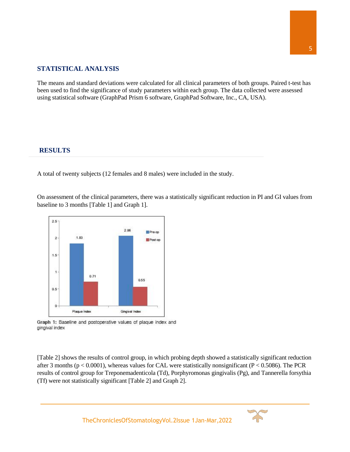# **STATISTICAL ANALYSIS**

The means and standard deviations were calculated for all clinical parameters of both groups. Paired t-test has been used to find the significance of study parameters within each group. The data collected were assessed using statistical software (GraphPad Prism 6 software, GraphPad Software, Inc., CA, USA).

#### **RESULTS**

A total of twenty subjects (12 females and 8 males) were included in the study.

On assessment of the clinical parameters, there was a statistically significant reduction in PI and GI values from baseline to 3 months [\[Table 1\]](https://www.ijdr.in/viewimage.asp?img=IndianJDentRes_2016_27_5_483_195622_t6.jpg) and Graph 1].



Graph 1: Baseline and postoperative values of plaque index and gingival index

[\[Table 2\]](https://www.ijdr.in/viewimage.asp?img=IndianJDentRes_2016_27_5_483_195622_t7.jpg) shows the results of control group, in which probing depth showed a statistically significant reduction after 3 months ( $p < 0.0001$ ), whereas values for CAL were statistically nonsignificant ( $P < 0.5086$ ). The PCR results of control group for Treponemadenticola (Td), Porphyromonas gingivalis (Pg), and Tannerella forsythia (Tf) were not statistically significant [\[Table 2\]](https://www.ijdr.in/viewimage.asp?img=IndianJDentRes_2016_27_5_483_195622_t7.jpg) and Graph 2].

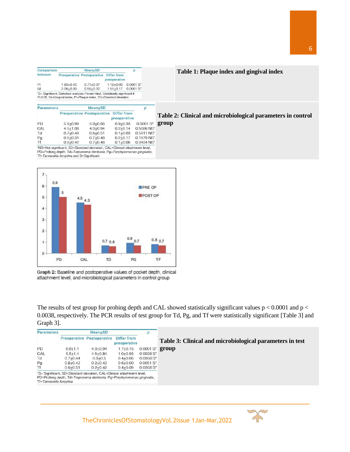| Comparison |               | p                                      |               |             |
|------------|---------------|----------------------------------------|---------------|-------------|
| between    |               | Preoperative Postoperative Differ from | preoperative  |             |
| PI         | $1.83 + 0.40$ | $0.71 + 0.37$                          | $1.12 + 0.03$ | $0.0001 S*$ |
| GI         | $2.06 + 0.39$ | $0.55 + 0.22$                          | $1.51 + 0.17$ | $0.0001 S*$ |

#### **Table 1: Plaque index and gingival index**

P<0.05, GI=Gingival index, PI=Plaque index, SD=Standard deviation

| <u>Parameters</u> |              | Mean±SD                                                                   |              |                        |
|-------------------|--------------|---------------------------------------------------------------------------|--------------|------------------------|
|                   |              | Preoperative Postoperative Differ from                                    | preoperative |                        |
| PD                | $5.9 + 0.99$ | $5.0 + 0.66$                                                              | $0.9 + 0.33$ | $0.0001S*$             |
| CAL               | $4.5 + 1.08$ | $4.3 + 0.94$                                                              | $0.2 + 0.14$ | 0.5086 NS <sup>t</sup> |
| Td                | $0.7 + 0.48$ | $0.6 + 0.51$                                                              | $0.1 + 0.03$ | 0.5911 NST             |
| Pg                | $0.9 + 0.31$ | $0.7 + 0.48$                                                              | $0.2 + 0.17$ | 0.1679 NST             |
| Τf                | $0.8 + 0.42$ | $0.7 + 0.48$                                                              | $0.1 + 0.06$ | 0.3434 NST             |
|                   |              | TNS=Not significant, SD=Standard deviation, CAL=Clinical attachment level |              |                        |

**CONTRACTOR** 

PD=Probing depth, Td=Treponema denticola, Pg=Porphyromonas gingivalis, Tf=Tannerella forsythia and S=Significant



Graph 2: Baseline and postoperative values of pocket depth, clinical attachment level, and microbiological parameters in control group

The results of test group for probing depth and CAL showed statistically significant values  $p < 0.0001$  and  $p <$ 0.0038, respectively. The PCR results of test group for Td, Pg, and Tf were statistically significant [\[Table 3\]](https://www.ijdr.in/viewimage.asp?img=IndianJDentRes_2016_27_5_483_195622_t8.jpg) and Graph 3].

**group**

| <b>Parameters</b> | Mean <b>+SD</b> |                                   |                             |              |                                                          |
|-------------------|-----------------|-----------------------------------|-----------------------------|--------------|----------------------------------------------------------|
|                   |                 | <b>Preoperative Postoperative</b> | Differ from<br>preoperative |              | Table 3: Clinical and microbiological parameters in test |
| <b>PD</b>         | $6.0 + 1.1$     | $4.3 + 0.94$                      | $1.7 + 0.16$                | $0.0001 S^*$ | group                                                    |
| CAL               | $5.5 + 1.4$     | $4.5 + 0.84$                      | $1.0 + 0.56$                | $0.0038S^*$  |                                                          |
| Td                | $0.7 + 0.44$    | $0.3 + 0.5$                       | $0.4 + 0.06$                | $0.0368S^*$  |                                                          |
| Pg                | $0.8 + 0.42$    | $0.2 + 0.42$                      | $0.6 + 0.00$                | $0.0051S^*$  |                                                          |
| Τf                | $0.6 + 0.51$    | $0.2 + 0.42$                      | $0.4 + 0.09$                | $0.0368S^*$  |                                                          |

**Table 2: Clinical and microbiological parameters in control** 

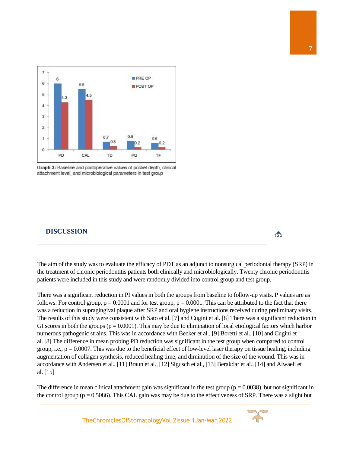

Graph 3: Baseline and postoperative values of pocket depth, clinical attachment level, and microbiological parameters in test group

#### **DISCUSSION**



There was a significant reduction in PI values in both the groups from baseline to follow-up visits. P values are as follows: For control group,  $p = 0.0001$  and for test group,  $p = 0.0001$ . This can be attributed to the fact that there was a reduction in supragingival plaque after SRP and oral hygiene instructions received during preliminary visits. The results of this study were consistent with Sato et al. [\[7\]](https://www.ijdr.in/article.asp?issn=0970-9290;year=2016;volume=27;issue=5;spage=483;epage=487;aulast=Raj#ref7) and Cugini et al. [\[8\]](https://www.ijdr.in/article.asp?issn=0970-9290;year=2016;volume=27;issue=5;spage=483;epage=487;aulast=Raj#ref8) There was a significant reduction in GI scores in both the groups ( $p = 0.0001$ ). This may be due to elimination of local etiological factors which harbor numerous pathogenic strains. This was in accordance with Becker et al., [\[9\]](https://www.ijdr.in/article.asp?issn=0970-9290;year=2016;volume=27;issue=5;spage=483;epage=487;aulast=Raj#ref9) Boretti et al., [\[10\]](https://www.ijdr.in/article.asp?issn=0970-9290;year=2016;volume=27;issue=5;spage=483;epage=487;aulast=Raj#ref10) and Cugini et al. [\[8\]](https://www.ijdr.in/article.asp?issn=0970-9290;year=2016;volume=27;issue=5;spage=483;epage=487;aulast=Raj#ref8) The difference in mean probing PD reduction was significant in the test group when compared to control group, i.e.,  $p = 0.0007$ . This was due to the beneficial effect of low-level laser therapy on tissue healing, including augmentation of collagen synthesis, reduced healing time, and diminution of the size of the wound. This was in accordance with Andersen et al., [\[11\]](https://www.ijdr.in/article.asp?issn=0970-9290;year=2016;volume=27;issue=5;spage=483;epage=487;aulast=Raj#ref11) Braun et al., [\[12\]](https://www.ijdr.in/article.asp?issn=0970-9290;year=2016;volume=27;issue=5;spage=483;epage=487;aulast=Raj#ref12) Sigusch et al., [\[13\]](https://www.ijdr.in/article.asp?issn=0970-9290;year=2016;volume=27;issue=5;spage=483;epage=487;aulast=Raj#ref13) Berakdar et al., [\[14\]](https://www.ijdr.in/article.asp?issn=0970-9290;year=2016;volume=27;issue=5;spage=483;epage=487;aulast=Raj#ref14) and Alwaeli et al. [\[15\]](https://www.ijdr.in/article.asp?issn=0970-9290;year=2016;volume=27;issue=5;spage=483;epage=487;aulast=Raj#ref15)

The difference in mean clinical attachment gain was significant in the test group ( $p = 0.0038$ ), but not significant in the control group ( $p = 0.5086$ ). This CAL gain was may be due to the effectiveness of SRP. There was a slight but

TheChroniclesOfStomatologyVol.2Issue 1Jan-Mar,2022



 $\overline{\mathbf{top}}$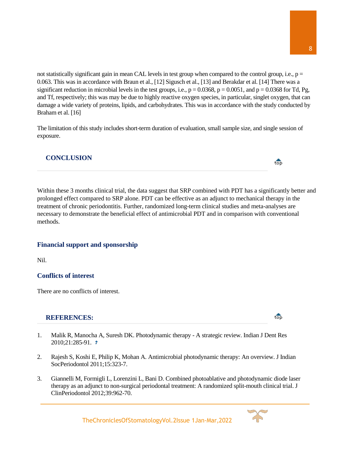not statistically significant gain in mean CAL levels in test group when compared to the control group, i.e.,  $p =$ 0.063. This was in accordance with Braun et al., [\[12\]](https://www.ijdr.in/article.asp?issn=0970-9290;year=2016;volume=27;issue=5;spage=483;epage=487;aulast=Raj#ref12) Sigusch et al., [\[13\]](https://www.ijdr.in/article.asp?issn=0970-9290;year=2016;volume=27;issue=5;spage=483;epage=487;aulast=Raj#ref13) and Berakdar et al. [\[14\]](https://www.ijdr.in/article.asp?issn=0970-9290;year=2016;volume=27;issue=5;spage=483;epage=487;aulast=Raj#ref14) There was a significant reduction in microbial levels in the test groups, i.e.,  $p = 0.0368$ ,  $p = 0.0051$ , and  $p = 0.0368$  for Td, Pg, and Tf, respectively; this was may be due to highly reactive oxygen species, in particular, singlet oxygen, that can damage a wide variety of proteins, lipids, and carbohydrates. This was in accordance with the study conducted by Braham et al. [\[16\]](https://www.ijdr.in/article.asp?issn=0970-9290;year=2016;volume=27;issue=5;spage=483;epage=487;aulast=Raj#ref16)

The limitation of this study includes short-term duration of evaluation, small sample size, and single session of exposure.

# **CONCLUSION**

Within these 3 months clinical trial, the data suggest that SRP combined with PDT has a significantly better and prolonged effect compared to SRP alone. PDT can be effective as an adjunct to mechanical therapy in the treatment of chronic periodontitis. Further, randomized long-term clinical studies and meta-analyses are necessary to demonstrate the beneficial effect of antimicrobial PDT and in comparison with conventional methods.

## **Financial support and sponsorship**

Nil.

## **Conflicts of interest**

There are no conflicts of interest.

#### **REFERENCES:**

- [1.](https://www.ijdr.in/article.asp?issn=0970-9290;year=2016;volume=27;issue=5;spage=483;epage=487;aulast=Raj#ft1) Malik R, Manocha A, Suresh DK. Photodynamic therapy A strategic review. Indian J Dent Res 2010;21:285-91.
- [2.](https://www.ijdr.in/article.asp?issn=0970-9290;year=2016;volume=27;issue=5;spage=483;epage=487;aulast=Raj#ft2) Rajesh S, Koshi E, Philip K, Mohan A. Antimicrobial photodynamic therapy: An overview. J Indian SocPeriodontol 2011;15:323-7.
- [3.](https://www.ijdr.in/article.asp?issn=0970-9290;year=2016;volume=27;issue=5;spage=483;epage=487;aulast=Raj#ft3) Giannelli M, Formigli L, Lorenzini L, Bani D. Combined photoablative and photodynamic diode laser therapy as an adjunct to non-surgical periodontal treatment: A randomized split-mouth clinical trial. J ClinPeriodontol 2012;39:962-70.

TheChroniclesOfStomatologyVol.2Issue 1Jan-Mar,2022



top